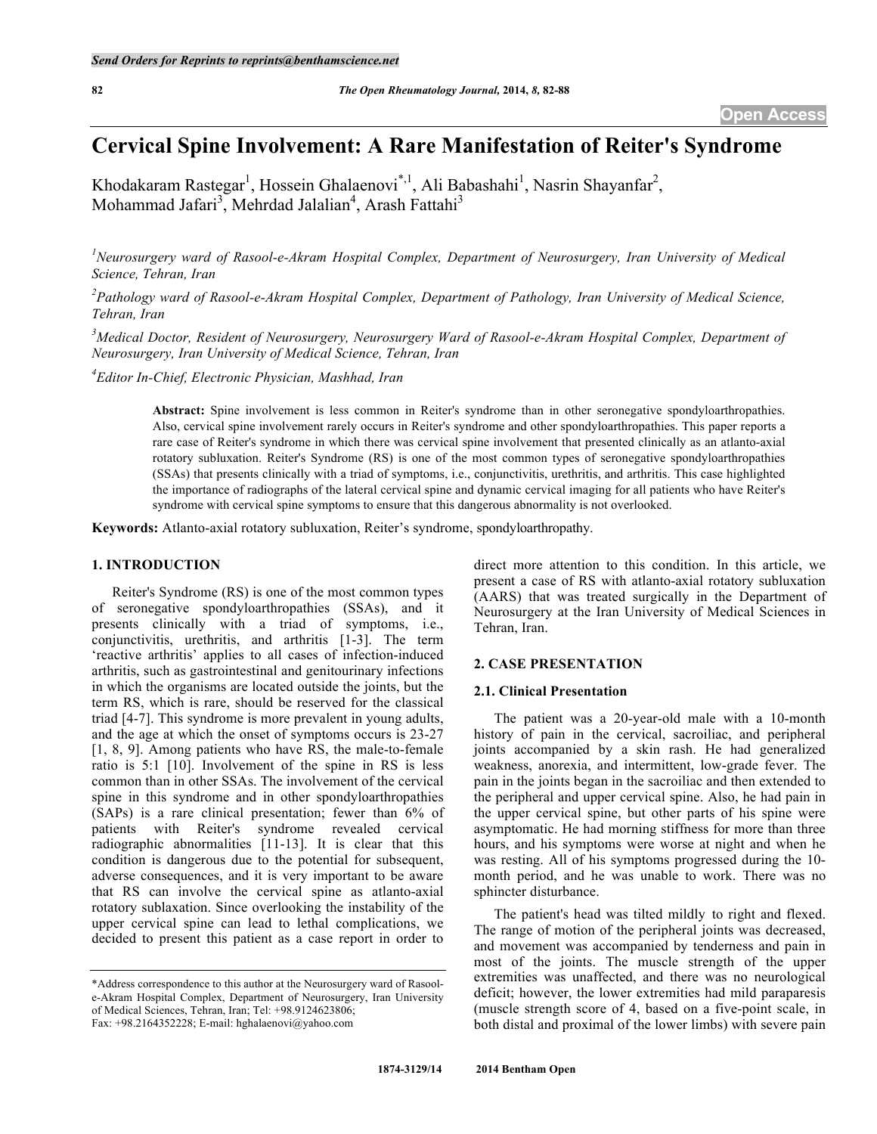# **Cervical Spine Involvement: A Rare Manifestation of Reiter's Syndrome**

Khodakaram Rastegar<sup>1</sup>, Hossein Ghalaenovi<sup>\*,1</sup>, Ali Babashahi<sup>1</sup>, Nasrin Shayanfar<sup>2</sup>, Mohammad Jafari<sup>3</sup>, Mehrdad Jalalian<sup>4</sup>, Arash Fattahi<sup>3</sup>

<sup>1</sup> Neurosurgery ward of Rasool-e-Akram Hospital Complex, Department of Neurosurgery, Iran University of Medical *Science, Tehran, Iran*

<sup>2</sup> Pathology ward of Rasool-e-Akram Hospital Complex, Department of Pathology, Iran University of Medical Science, *Tehran, Iran*

<sup>3</sup> Medical Doctor, Resident of Neurosurgery, Neurosurgery Ward of Rasool-e-Akram Hospital Complex, Department of *Neurosurgery, Iran University of Medical Science, Tehran, Iran*

*4 Editor In-Chief, Electronic Physician, Mashhad, Iran*

**Abstract:** Spine involvement is less common in Reiter's syndrome than in other seronegative spondyloarthropathies. Also, cervical spine involvement rarely occurs in Reiter's syndrome and other spondyloarthropathies. This paper reports a rare case of Reiter's syndrome in which there was cervical spine involvement that presented clinically as an atlanto-axial rotatory subluxation. Reiter's Syndrome (RS) is one of the most common types of seronegative spondyloarthropathies (SSAs) that presents clinically with a triad of symptoms, i.e., conjunctivitis, urethritis, and arthritis. This case highlighted the importance of radiographs of the lateral cervical spine and dynamic cervical imaging for all patients who have Reiter's syndrome with cervical spine symptoms to ensure that this dangerous abnormality is not overlooked.

**Keywords:** Atlanto-axial rotatory subluxation, Reiter's syndrome, spondyloarthropathy.

# **1. INTRODUCTION**

Reiter's Syndrome (RS) is one of the most common types of seronegative spondyloarthropathies (SSAs), and it presents clinically with a triad of symptoms, i.e., conjunctivitis, urethritis, and arthritis [1-3]. The term 'reactive arthritis' applies to all cases of infection-induced arthritis, such as gastrointestinal and genitourinary infections in which the organisms are located outside the joints, but the term RS, which is rare, should be reserved for the classical triad [4-7]. This syndrome is more prevalent in young adults, and the age at which the onset of symptoms occurs is 23-27 [1, 8, 9]. Among patients who have RS, the male-to-female ratio is 5:1 [10]. Involvement of the spine in RS is less common than in other SSAs. The involvement of the cervical spine in this syndrome and in other spondyloarthropathies (SAPs) is a rare clinical presentation; fewer than 6% of patients with Reiter's syndrome revealed cervical radiographic abnormalities [11-13]. It is clear that this condition is dangerous due to the potential for subsequent, adverse consequences, and it is very important to be aware that RS can involve the cervical spine as atlanto-axial rotatory sublaxation. Since overlooking the instability of the upper cervical spine can lead to lethal complications, we decided to present this patient as a case report in order to

\*Address correspondence to this author at the Neurosurgery ward of Rasoole-Akram Hospital Complex, Department of Neurosurgery, Iran University of Medical Sciences, Tehran, Iran; Tel: +98.9124623806;

Fax: +98.2164352228; E-mail: hghalaenovi@yahoo.com

direct more attention to this condition. In this article, we present a case of RS with atlanto-axial rotatory subluxation (AARS) that was treated surgically in the Department of Neurosurgery at the Iran University of Medical Sciences in Tehran, Iran.

## **2. CASE PRESENTATION**

# **2.1. Clinical Presentation**

The patient was a 20-year-old male with a 10-month history of pain in the cervical, sacroiliac, and peripheral joints accompanied by a skin rash. He had generalized weakness, anorexia, and intermittent, low-grade fever. The pain in the joints began in the sacroiliac and then extended to the peripheral and upper cervical spine. Also, he had pain in the upper cervical spine, but other parts of his spine were asymptomatic. He had morning stiffness for more than three hours, and his symptoms were worse at night and when he was resting. All of his symptoms progressed during the 10 month period, and he was unable to work. There was no sphincter disturbance.

The patient's head was tilted mildly to right and flexed. The range of motion of the peripheral joints was decreased, and movement was accompanied by tenderness and pain in most of the joints. The muscle strength of the upper extremities was unaffected, and there was no neurological deficit; however, the lower extremities had mild paraparesis (muscle strength score of 4, based on a five-point scale, in both distal and proximal of the lower limbs) with severe pain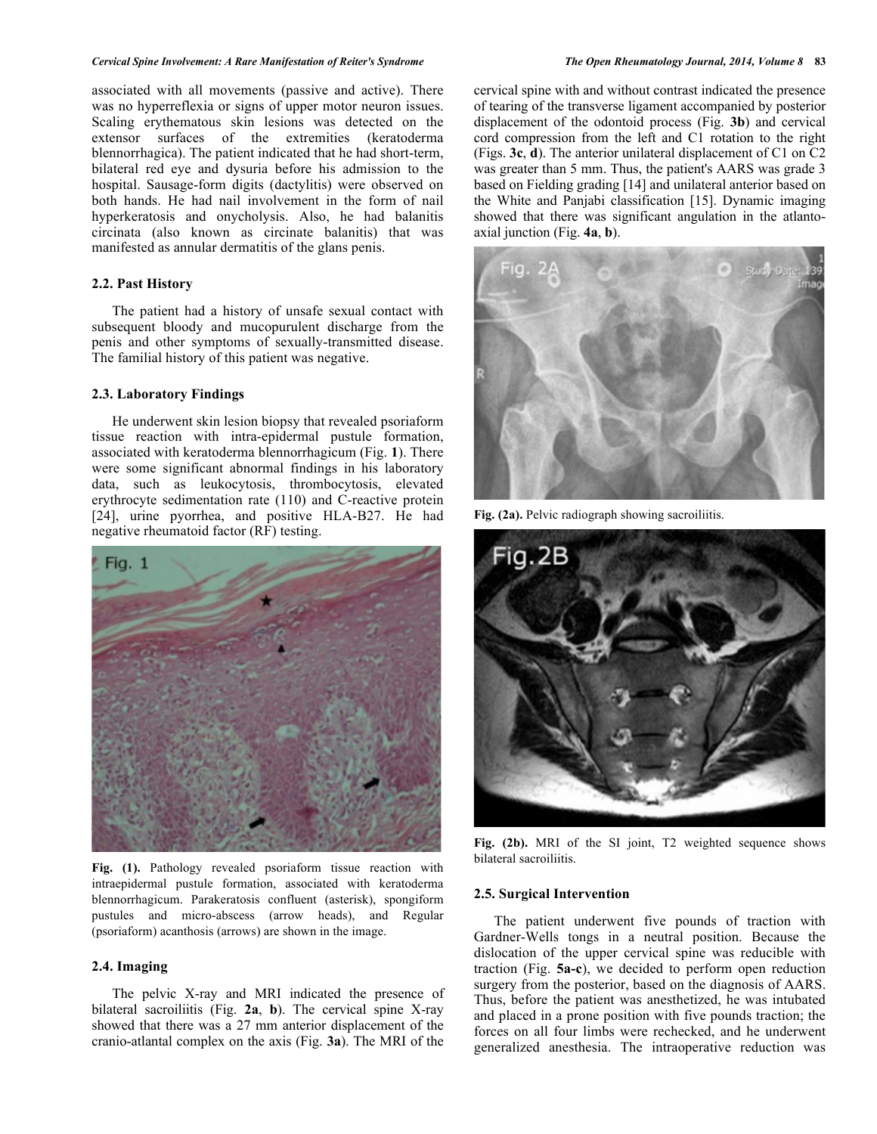#### *Cervical Spine Involvement: A Rare Manifestation of Reiter's Syndrome The Open Rheumatology Journal, 2014, Volume 8* **83**

associated with all movements (passive and active). There was no hyperreflexia or signs of upper motor neuron issues. Scaling erythematous skin lesions was detected on the extensor surfaces of the extremities (keratoderma blennorrhagica). The patient indicated that he had short-term, bilateral red eye and dysuria before his admission to the hospital. Sausage-form digits (dactylitis) were observed on both hands. He had nail involvement in the form of nail hyperkeratosis and onycholysis. Also, he had balanitis circinata (also known as circinate balanitis) that was manifested as annular dermatitis of the glans penis.

# **2.2. Past History**

The patient had a history of unsafe sexual contact with subsequent bloody and mucopurulent discharge from the penis and other symptoms of sexually-transmitted disease. The familial history of this patient was negative.

### **2.3. Laboratory Findings**

He underwent skin lesion biopsy that revealed psoriaform tissue reaction with intra-epidermal pustule formation, associated with keratoderma blennorrhagicum (Fig. **1**). There were some significant abnormal findings in his laboratory data, such as leukocytosis, thrombocytosis, elevated erythrocyte sedimentation rate (110) and C-reactive protein [24], urine pyorrhea, and positive HLA-B27. He had negative rheumatoid factor (RF) testing.



**Fig. (1).** Pathology revealed psoriaform tissue reaction with intraepidermal pustule formation, associated with keratoderma blennorrhagicum. Parakeratosis confluent (asterisk), spongiform pustules and micro-abscess (arrow heads), and Regular (psoriaform) acanthosis (arrows) are shown in the image.

# **2.4. Imaging**

The pelvic X-ray and MRI indicated the presence of bilateral sacroiliitis (Fig. **2a**, **b**). The cervical spine X-ray showed that there was a 27 mm anterior displacement of the cranio-atlantal complex on the axis (Fig. **3a**). The MRI of the

cervical spine with and without contrast indicated the presence of tearing of the transverse ligament accompanied by posterior displacement of the odontoid process (Fig. **3b**) and cervical cord compression from the left and C1 rotation to the right (Figs. **3c**, **d**). The anterior unilateral displacement of C1 on C2 was greater than 5 mm. Thus, the patient's AARS was grade 3 based on Fielding grading [14] and unilateral anterior based on the White and Panjabi classification [15]. Dynamic imaging showed that there was significant angulation in the atlantoaxial junction (Fig. **4a**, **b**).



Fig. (2a). Pelvic radiograph showing sacroiliitis.



**Fig. (2b).** MRI of the SI joint, T2 weighted sequence shows bilateral sacroiliitis.

#### **2.5. Surgical Intervention**

The patient underwent five pounds of traction with Gardner-Wells tongs in a neutral position. Because the dislocation of the upper cervical spine was reducible with traction (Fig. **5a-c**), we decided to perform open reduction surgery from the posterior, based on the diagnosis of AARS. Thus, before the patient was anesthetized, he was intubated and placed in a prone position with five pounds traction; the forces on all four limbs were rechecked, and he underwent generalized anesthesia. The intraoperative reduction was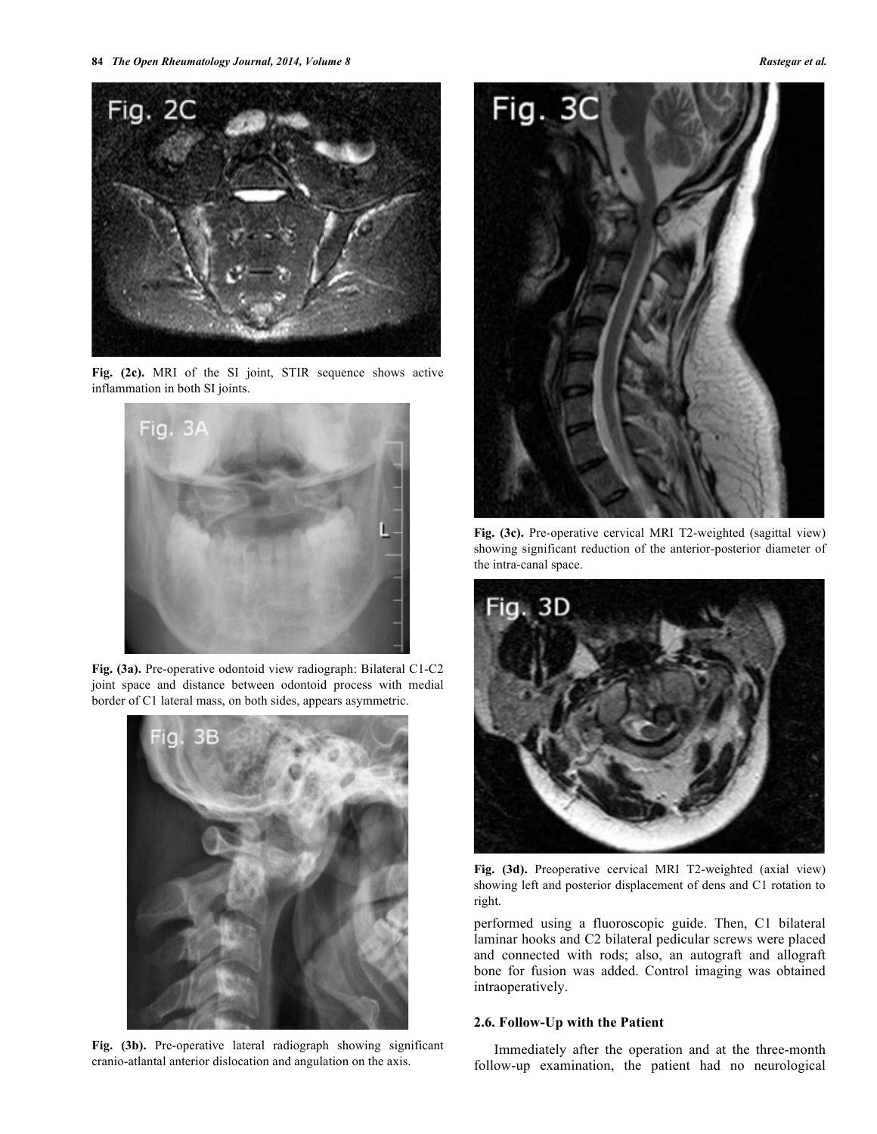

**Fig. (2c).** MRI of the SI joint, STIR sequence shows active inflammation in both SI joints.



**Fig. (3a).** Pre-operative odontoid view radiograph: Bilateral C1-C2 joint space and distance between odontoid process with medial border of C1 lateral mass, on both sides, appears asymmetric.



**Fig. (3b).** Pre-operative lateral radiograph showing significant cranio-atlantal anterior dislocation and angulation on the axis.



**Fig. (3c).** Pre-operative cervical MRI T2-weighted (sagittal view) showing significant reduction of the anterior-posterior diameter of the intra-canal space.



**Fig. (3d).** Preoperative cervical MRI T2-weighted (axial view) showing left and posterior displacement of dens and C1 rotation to right.

performed using a fluoroscopic guide. Then, C1 bilateral laminar hooks and C2 bilateral pedicular screws were placed and connected with rods; also, an autograft and allograft bone for fusion was added. Control imaging was obtained intraoperatively.

## **2.6. Follow-Up with the Patient**

Immediately after the operation and at the three-month follow-up examination, the patient had no neurological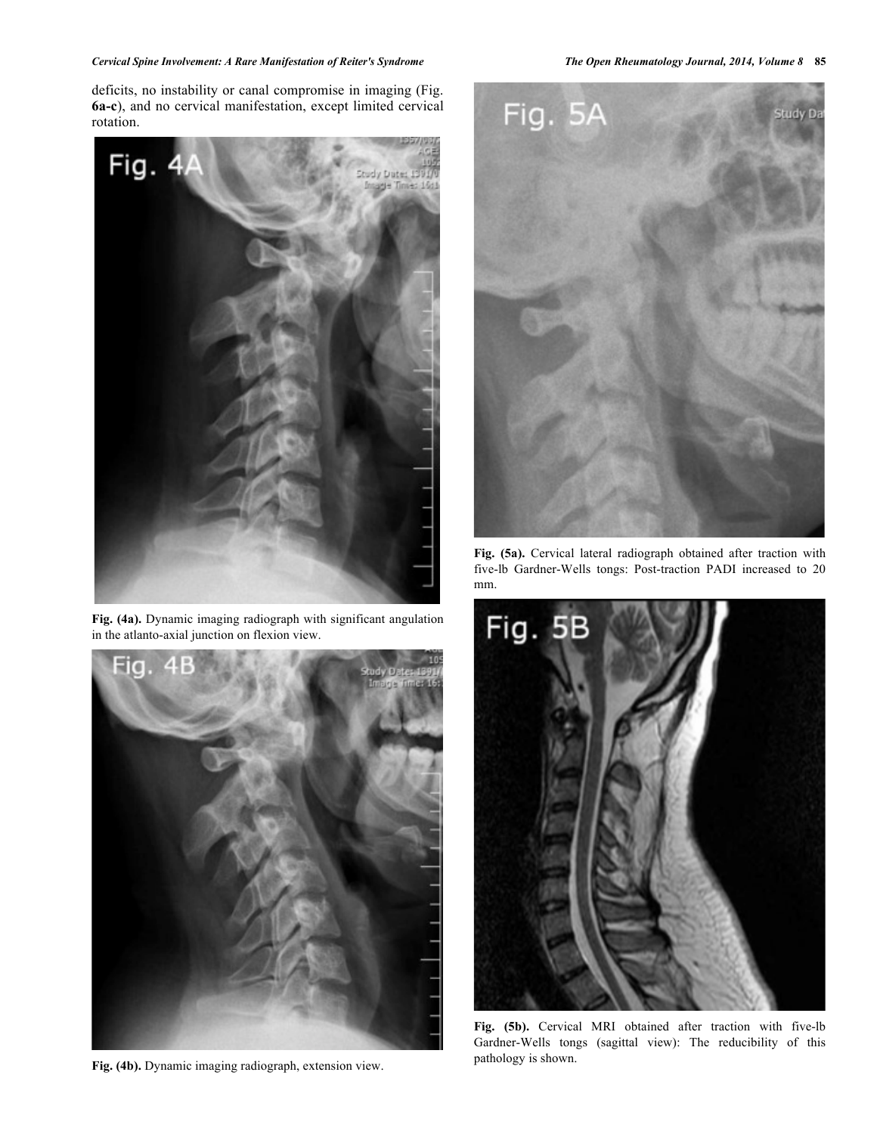# *Cervical Spine Involvement: A Rare Manifestation of Reiter's Syndrome The Open Rheumatology Journal, 2014, Volume 8* **85**

deficits, no instability or canal compromise in imaging (Fig. **6a-c**), and no cervical manifestation, except limited cervical rotation.



**Fig. (4a).** Dynamic imaging radiograph with significant angulation in the atlanto-axial junction on flexion view.



**Fig. (4b).** Dynamic imaging radiograph, extension view.



**Fig. (5a).** Cervical lateral radiograph obtained after traction with five-lb Gardner-Wells tongs: Post-traction PADI increased to 20 mm.



**Fig. (5b).** Cervical MRI obtained after traction with five-lb Gardner-Wells tongs (sagittal view): The reducibility of this pathology is shown.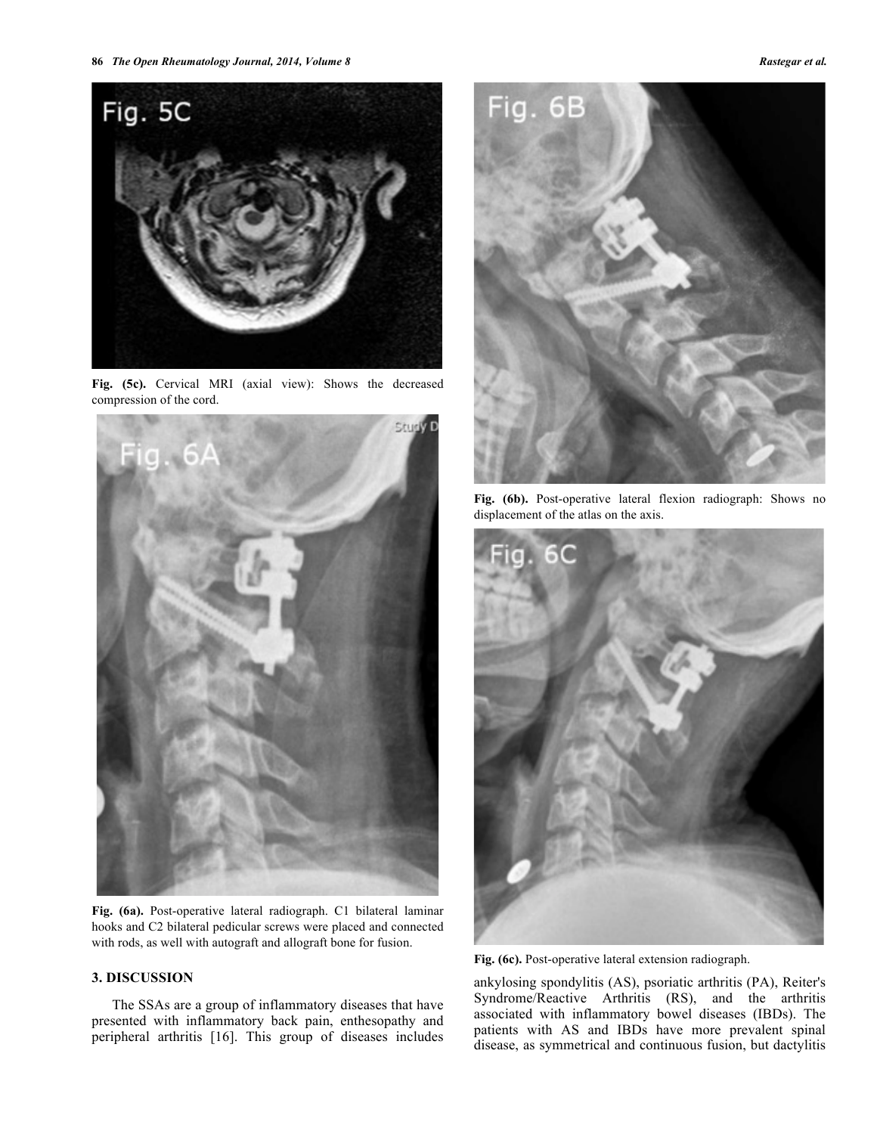

**Fig. (5c).** Cervical MRI (axial view): Shows the decreased compression of the cord.



**Fig. (6a).** Post-operative lateral radiograph. C1 bilateral laminar hooks and C2 bilateral pedicular screws were placed and connected with rods, as well with autograft and allograft bone for fusion.

# **3. DISCUSSION**

The SSAs are a group of inflammatory diseases that have presented with inflammatory back pain, enthesopathy and peripheral arthritis [16]. This group of diseases includes



**Fig. (6b).** Post-operative lateral flexion radiograph: Shows no displacement of the atlas on the axis.



**Fig. (6c).** Post-operative lateral extension radiograph.

ankylosing spondylitis (AS), psoriatic arthritis (PA), Reiter's Syndrome/Reactive Arthritis (RS), and the arthritis associated with inflammatory bowel diseases (IBDs). The patients with AS and IBDs have more prevalent spinal disease, as symmetrical and continuous fusion, but dactylitis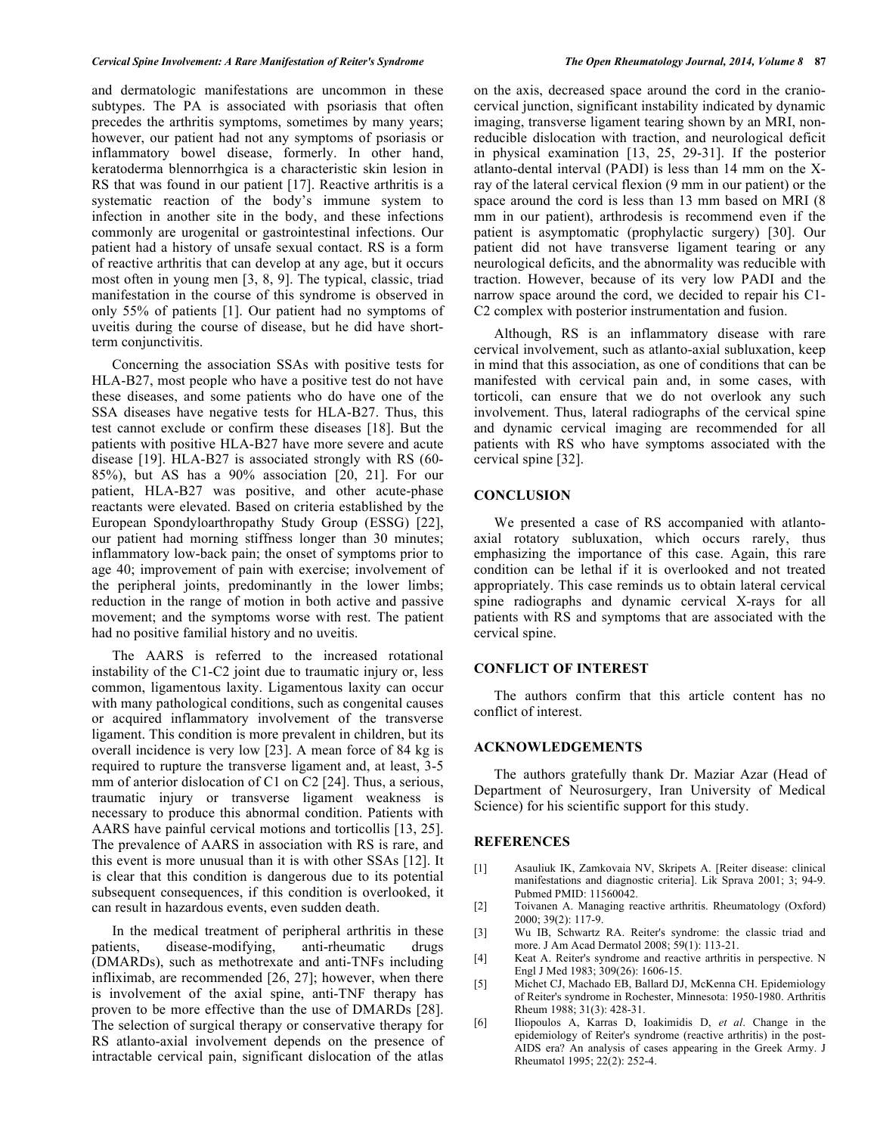and dermatologic manifestations are uncommon in these subtypes. The PA is associated with psoriasis that often precedes the arthritis symptoms, sometimes by many years; however, our patient had not any symptoms of psoriasis or inflammatory bowel disease, formerly. In other hand, keratoderma blennorrhgica is a characteristic skin lesion in RS that was found in our patient [17]. Reactive arthritis is a systematic reaction of the body's immune system to infection in another site in the body, and these infections commonly are urogenital or gastrointestinal infections. Our patient had a history of unsafe sexual contact. RS is a form of reactive arthritis that can develop at any age, but it occurs most often in young men [3, 8, 9]. The typical, classic, triad manifestation in the course of this syndrome is observed in only 55% of patients [1]. Our patient had no symptoms of uveitis during the course of disease, but he did have shortterm conjunctivitis.

Concerning the association SSAs with positive tests for HLA-B27, most people who have a positive test do not have these diseases, and some patients who do have one of the SSA diseases have negative tests for HLA-B27. Thus, this test cannot exclude or confirm these diseases [18]. But the patients with positive HLA-B27 have more severe and acute disease [19]. HLA-B27 is associated strongly with RS (60- 85%), but AS has a 90% association [20, 21]. For our patient, HLA-B27 was positive, and other acute-phase reactants were elevated. Based on criteria established by the European Spondyloarthropathy Study Group (ESSG) [22], our patient had morning stiffness longer than 30 minutes; inflammatory low-back pain; the onset of symptoms prior to age 40; improvement of pain with exercise; involvement of the peripheral joints, predominantly in the lower limbs; reduction in the range of motion in both active and passive movement; and the symptoms worse with rest. The patient had no positive familial history and no uveitis.

The AARS is referred to the increased rotational instability of the C1-C2 joint due to traumatic injury or, less common, ligamentous laxity. Ligamentous laxity can occur with many pathological conditions, such as congenital causes or acquired inflammatory involvement of the transverse ligament. This condition is more prevalent in children, but its overall incidence is very low [23]. A mean force of 84 kg is required to rupture the transverse ligament and, at least, 3-5 mm of anterior dislocation of C1 on C2 [24]. Thus, a serious, traumatic injury or transverse ligament weakness is necessary to produce this abnormal condition. Patients with AARS have painful cervical motions and torticollis [13, 25]. The prevalence of AARS in association with RS is rare, and this event is more unusual than it is with other SSAs [12]. It is clear that this condition is dangerous due to its potential subsequent consequences, if this condition is overlooked, it can result in hazardous events, even sudden death.

In the medical treatment of peripheral arthritis in these patients, disease-modifying, anti-rheumatic drugs (DMARDs), such as methotrexate and anti-TNFs including infliximab, are recommended [26, 27]; however, when there is involvement of the axial spine, anti-TNF therapy has proven to be more effective than the use of DMARDs [28]. The selection of surgical therapy or conservative therapy for RS atlanto-axial involvement depends on the presence of intractable cervical pain, significant dislocation of the atlas

on the axis, decreased space around the cord in the craniocervical junction, significant instability indicated by dynamic imaging, transverse ligament tearing shown by an MRI, nonreducible dislocation with traction, and neurological deficit in physical examination [13, 25, 29-31]. If the posterior atlanto-dental interval (PADI) is less than 14 mm on the Xray of the lateral cervical flexion (9 mm in our patient) or the space around the cord is less than 13 mm based on MRI (8 mm in our patient), arthrodesis is recommend even if the patient is asymptomatic (prophylactic surgery) [30]. Our patient did not have transverse ligament tearing or any neurological deficits, and the abnormality was reducible with traction. However, because of its very low PADI and the narrow space around the cord, we decided to repair his C1- C2 complex with posterior instrumentation and fusion.

Although, RS is an inflammatory disease with rare cervical involvement, such as atlanto-axial subluxation, keep in mind that this association, as one of conditions that can be manifested with cervical pain and, in some cases, with torticoli, can ensure that we do not overlook any such involvement. Thus, lateral radiographs of the cervical spine and dynamic cervical imaging are recommended for all patients with RS who have symptoms associated with the cervical spine [32].

# **CONCLUSION**

We presented a case of RS accompanied with atlantoaxial rotatory subluxation, which occurs rarely, thus emphasizing the importance of this case. Again, this rare condition can be lethal if it is overlooked and not treated appropriately. This case reminds us to obtain lateral cervical spine radiographs and dynamic cervical X-rays for all patients with RS and symptoms that are associated with the cervical spine.

#### **CONFLICT OF INTEREST**

The authors confirm that this article content has no conflict of interest.

# **ACKNOWLEDGEMENTS**

The authors gratefully thank Dr. Maziar Azar (Head of Department of Neurosurgery, Iran University of Medical Science) for his scientific support for this study.

#### **REFERENCES**

- [1] Asauliuk IK, Zamkovaia NV, Skripets A. [Reiter disease: clinical manifestations and diagnostic criteria]. Lik Sprava 2001; 3; 94-9. Pubmed PMID: 11560042.
- [2] Toivanen A. Managing reactive arthritis. Rheumatology (Oxford) 2000; 39(2): 117-9.
- [3] Wu IB, Schwartz RA. Reiter's syndrome: the classic triad and more. J Am Acad Dermatol 2008; 59(1): 113-21.
- [4] Keat A. Reiter's syndrome and reactive arthritis in perspective. N Engl J Med 1983; 309(26): 1606-15.
- [5] Michet CJ, Machado EB, Ballard DJ, McKenna CH. Epidemiology of Reiter's syndrome in Rochester, Minnesota: 1950-1980. Arthritis Rheum 1988; 31(3): 428-31.
- [6] Iliopoulos A, Karras D, Ioakimidis D, *et al*. Change in the epidemiology of Reiter's syndrome (reactive arthritis) in the post-AIDS era? An analysis of cases appearing in the Greek Army. J Rheumatol 1995; 22(2): 252-4.